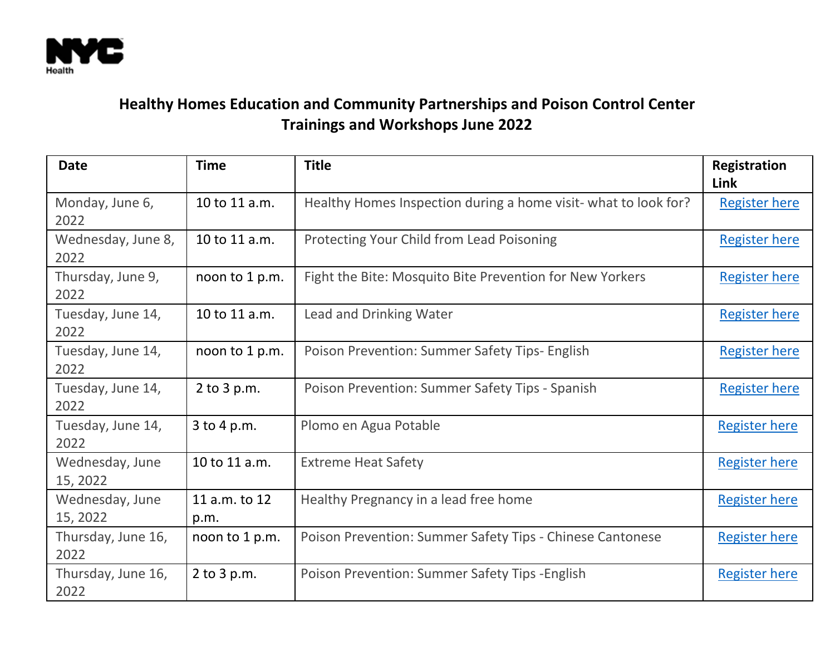

## **Healthy Homes Education and Community Partnerships and Poison Control Center Trainings and Workshops June 2022**

| <b>Date</b>                 | <b>Time</b>           | <b>Title</b>                                                    | <b>Registration</b><br>Link |
|-----------------------------|-----------------------|-----------------------------------------------------------------|-----------------------------|
| Monday, June 6,<br>2022     | 10 to 11 a.m.         | Healthy Homes Inspection during a home visit- what to look for? | <b>Register here</b>        |
| Wednesday, June 8,<br>2022  | 10 to 11 a.m.         | Protecting Your Child from Lead Poisoning                       | <b>Register here</b>        |
| Thursday, June 9,<br>2022   | noon to 1 p.m.        | Fight the Bite: Mosquito Bite Prevention for New Yorkers        | <b>Register here</b>        |
| Tuesday, June 14,<br>2022   | 10 to 11 a.m.         | <b>Lead and Drinking Water</b>                                  | <b>Register here</b>        |
| Tuesday, June 14,<br>2022   | noon to 1 p.m.        | Poison Prevention: Summer Safety Tips- English                  | <b>Register here</b>        |
| Tuesday, June 14,<br>2022   | $2$ to $3$ p.m.       | Poison Prevention: Summer Safety Tips - Spanish                 | <b>Register here</b>        |
| Tuesday, June 14,<br>2022   | 3 to 4 p.m.           | Plomo en Agua Potable                                           | <b>Register here</b>        |
| Wednesday, June<br>15, 2022 | 10 to 11 a.m.         | <b>Extreme Heat Safety</b>                                      | <b>Register here</b>        |
| Wednesday, June<br>15, 2022 | 11 a.m. to 12<br>p.m. | Healthy Pregnancy in a lead free home                           | <b>Register here</b>        |
| Thursday, June 16,<br>2022  | noon to 1 p.m.        | Poison Prevention: Summer Safety Tips - Chinese Cantonese       | <b>Register here</b>        |
| Thursday, June 16,<br>2022  | $2$ to $3$ p.m.       | Poison Prevention: Summer Safety Tips - English                 | <b>Register here</b>        |